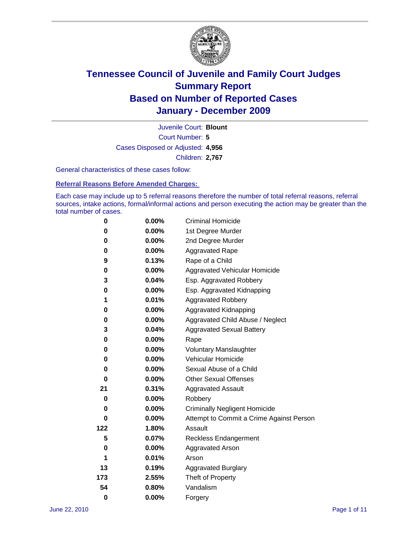

Court Number: **5** Juvenile Court: **Blount** Cases Disposed or Adjusted: **4,956** Children: **2,767**

General characteristics of these cases follow:

**Referral Reasons Before Amended Charges:** 

Each case may include up to 5 referral reasons therefore the number of total referral reasons, referral sources, intake actions, formal/informal actions and person executing the action may be greater than the total number of cases.

| 0   | $0.00\%$ | <b>Criminal Homicide</b>                 |  |  |  |  |
|-----|----------|------------------------------------------|--|--|--|--|
| 0   | 0.00%    | 1st Degree Murder                        |  |  |  |  |
| 0   | $0.00\%$ | 2nd Degree Murder                        |  |  |  |  |
| 0   | 0.00%    | <b>Aggravated Rape</b>                   |  |  |  |  |
| 9   | 0.13%    | Rape of a Child                          |  |  |  |  |
| 0   | 0.00%    | Aggravated Vehicular Homicide            |  |  |  |  |
| 3   | 0.04%    | Esp. Aggravated Robbery                  |  |  |  |  |
| 0   | $0.00\%$ | Esp. Aggravated Kidnapping               |  |  |  |  |
| 1   | 0.01%    | <b>Aggravated Robbery</b>                |  |  |  |  |
| 0   | $0.00\%$ | Aggravated Kidnapping                    |  |  |  |  |
| 0   | 0.00%    | Aggravated Child Abuse / Neglect         |  |  |  |  |
| 3   | 0.04%    | <b>Aggravated Sexual Battery</b>         |  |  |  |  |
| 0   | 0.00%    | Rape                                     |  |  |  |  |
| 0   | $0.00\%$ | <b>Voluntary Manslaughter</b>            |  |  |  |  |
| 0   | 0.00%    | Vehicular Homicide                       |  |  |  |  |
| 0   | 0.00%    | Sexual Abuse of a Child                  |  |  |  |  |
| 0   | $0.00\%$ | <b>Other Sexual Offenses</b>             |  |  |  |  |
| 21  | 0.31%    | <b>Aggravated Assault</b>                |  |  |  |  |
| 0   | $0.00\%$ | Robbery                                  |  |  |  |  |
| 0   | 0.00%    | <b>Criminally Negligent Homicide</b>     |  |  |  |  |
| 0   | $0.00\%$ | Attempt to Commit a Crime Against Person |  |  |  |  |
| 122 | 1.80%    | Assault                                  |  |  |  |  |
| 5   | 0.07%    | <b>Reckless Endangerment</b>             |  |  |  |  |
| 0   | 0.00%    | <b>Aggravated Arson</b>                  |  |  |  |  |
| 1   | 0.01%    | Arson                                    |  |  |  |  |
| 13  | 0.19%    | <b>Aggravated Burglary</b>               |  |  |  |  |
| 173 | 2.55%    | Theft of Property                        |  |  |  |  |
| 54  | 0.80%    | Vandalism                                |  |  |  |  |
| 0   | 0.00%    | Forgery                                  |  |  |  |  |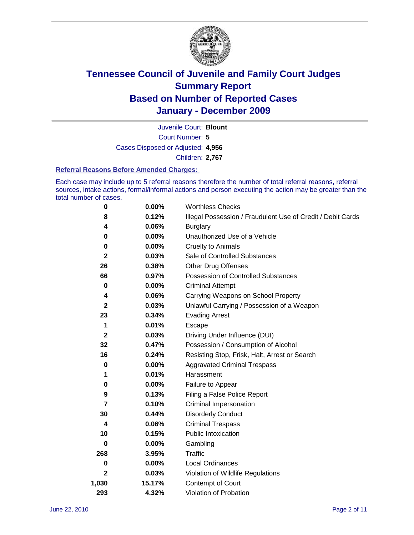

Court Number: **5** Juvenile Court: **Blount** Cases Disposed or Adjusted: **4,956** Children: **2,767**

#### **Referral Reasons Before Amended Charges:**

Each case may include up to 5 referral reasons therefore the number of total referral reasons, referral sources, intake actions, formal/informal actions and person executing the action may be greater than the total number of cases.

| 0            | 0.00%    | <b>Worthless Checks</b>                                     |
|--------------|----------|-------------------------------------------------------------|
| 8            | 0.12%    | Illegal Possession / Fraudulent Use of Credit / Debit Cards |
| 4            | 0.06%    | <b>Burglary</b>                                             |
| 0            | $0.00\%$ | Unauthorized Use of a Vehicle                               |
| 0            | $0.00\%$ | <b>Cruelty to Animals</b>                                   |
| $\mathbf{2}$ | 0.03%    | Sale of Controlled Substances                               |
| 26           | 0.38%    | <b>Other Drug Offenses</b>                                  |
| 66           | 0.97%    | Possession of Controlled Substances                         |
| 0            | $0.00\%$ | <b>Criminal Attempt</b>                                     |
| 4            | 0.06%    | Carrying Weapons on School Property                         |
| 2            | 0.03%    | Unlawful Carrying / Possession of a Weapon                  |
| 23           | 0.34%    | <b>Evading Arrest</b>                                       |
| 1            | 0.01%    | Escape                                                      |
| 2            | 0.03%    | Driving Under Influence (DUI)                               |
| 32           | 0.47%    | Possession / Consumption of Alcohol                         |
| 16           | 0.24%    | Resisting Stop, Frisk, Halt, Arrest or Search               |
| 0            | $0.00\%$ | <b>Aggravated Criminal Trespass</b>                         |
| 1            | 0.01%    | Harassment                                                  |
| 0            | 0.00%    | Failure to Appear                                           |
| 9            | 0.13%    | Filing a False Police Report                                |
| 7            | 0.10%    | Criminal Impersonation                                      |
| 30           | 0.44%    | <b>Disorderly Conduct</b>                                   |
| 4            | 0.06%    | <b>Criminal Trespass</b>                                    |
| 10           | 0.15%    | <b>Public Intoxication</b>                                  |
| 0            | 0.00%    | Gambling                                                    |
| 268          | 3.95%    | <b>Traffic</b>                                              |
| 0            | $0.00\%$ | Local Ordinances                                            |
| 2            | 0.03%    | Violation of Wildlife Regulations                           |
| 1,030        | 15.17%   | Contempt of Court                                           |
| 293          | 4.32%    | Violation of Probation                                      |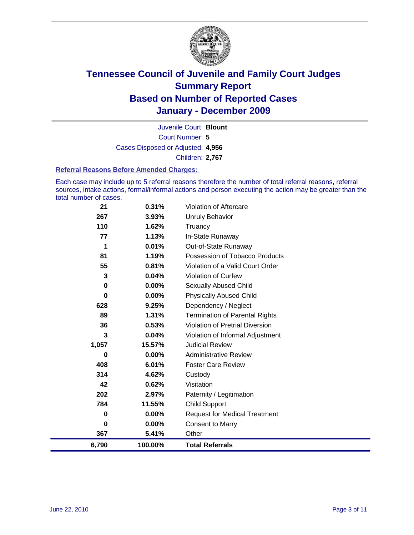

Court Number: **5** Juvenile Court: **Blount** Cases Disposed or Adjusted: **4,956** Children: **2,767**

#### **Referral Reasons Before Amended Charges:**

Each case may include up to 5 referral reasons therefore the number of total referral reasons, referral sources, intake actions, formal/informal actions and person executing the action may be greater than the total number of cases.

| 6,790       | 100.00%  | <b>Total Referrals</b>                 |
|-------------|----------|----------------------------------------|
| 367         | 5.41%    | Other                                  |
| 0           | $0.00\%$ | <b>Consent to Marry</b>                |
| 0           | $0.00\%$ | <b>Request for Medical Treatment</b>   |
| 784         | 11.55%   | <b>Child Support</b>                   |
| 202         | 2.97%    | Paternity / Legitimation               |
| 42          | 0.62%    | Visitation                             |
| 314         | 4.62%    | Custody                                |
| 408         | 6.01%    | <b>Foster Care Review</b>              |
| 0           | $0.00\%$ | <b>Administrative Review</b>           |
| 1,057       | 15.57%   | <b>Judicial Review</b>                 |
| 3           | 0.04%    | Violation of Informal Adjustment       |
| 36          | 0.53%    | <b>Violation of Pretrial Diversion</b> |
| 89          | 1.31%    | <b>Termination of Parental Rights</b>  |
| 628         | 9.25%    | Dependency / Neglect                   |
| $\bf{0}$    | $0.00\%$ | <b>Physically Abused Child</b>         |
| $\mathbf 0$ | $0.00\%$ | <b>Sexually Abused Child</b>           |
| 3           | 0.04%    | <b>Violation of Curfew</b>             |
| 55          | 0.81%    | Violation of a Valid Court Order       |
| 81          | 1.19%    | Possession of Tobacco Products         |
| 1           | 0.01%    | Out-of-State Runaway                   |
| 77          | 1.13%    | In-State Runaway                       |
| 110         | 1.62%    | Truancy                                |
| 267         | 3.93%    | <b>Unruly Behavior</b>                 |
| 21          | 0.31%    | Violation of Aftercare                 |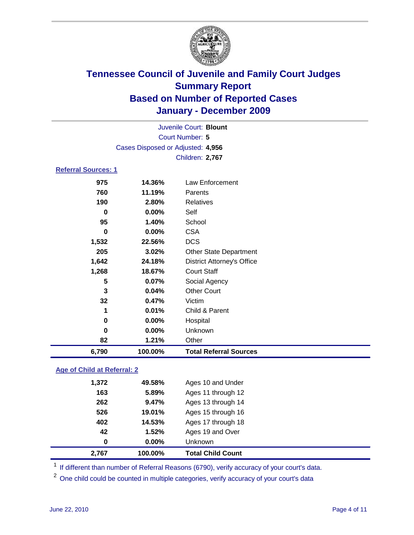

| Juvenile Court: Blount     |                                   |                                   |  |
|----------------------------|-----------------------------------|-----------------------------------|--|
|                            |                                   | Court Number: 5                   |  |
|                            | Cases Disposed or Adjusted: 4,956 |                                   |  |
|                            |                                   | Children: 2,767                   |  |
| <b>Referral Sources: 1</b> |                                   |                                   |  |
| 975                        | 14.36%                            | Law Enforcement                   |  |
| 760                        | 11.19%                            | Parents                           |  |
| 190                        | 2.80%                             | <b>Relatives</b>                  |  |
| 0                          | 0.00%                             | Self                              |  |
| 95                         | 1.40%                             | School                            |  |
| $\bf{0}$                   | 0.00%                             | <b>CSA</b>                        |  |
| 1,532                      | 22.56%                            | <b>DCS</b>                        |  |
| 205                        | 3.02%                             | <b>Other State Department</b>     |  |
| 1,642                      | 24.18%                            | <b>District Attorney's Office</b> |  |
| 1,268                      | 18.67%                            | <b>Court Staff</b>                |  |
| 5                          | 0.07%                             | Social Agency                     |  |
| $\mathbf{3}$               | 0.04%                             | <b>Other Court</b>                |  |
| 32                         | 0.47%                             | Victim                            |  |
| 1                          | 0.01%                             | Child & Parent                    |  |
| 0                          | 0.00%                             | Hospital                          |  |
| 0                          | 0.00%                             | Unknown                           |  |
| 82                         | 1.21%                             | Other                             |  |
| 6,790                      | 100.00%                           | <b>Total Referral Sources</b>     |  |

### **Age of Child at Referral: 2**

| 0     | 0.00%  | <b>Unknown</b>     |
|-------|--------|--------------------|
| 42    | 1.52%  | Ages 19 and Over   |
| 402   | 14.53% | Ages 17 through 18 |
| 526   | 19.01% | Ages 15 through 16 |
| 262   | 9.47%  | Ages 13 through 14 |
| 163   | 5.89%  | Ages 11 through 12 |
| 1,372 | 49.58% | Ages 10 and Under  |
|       |        |                    |

<sup>1</sup> If different than number of Referral Reasons (6790), verify accuracy of your court's data.

<sup>2</sup> One child could be counted in multiple categories, verify accuracy of your court's data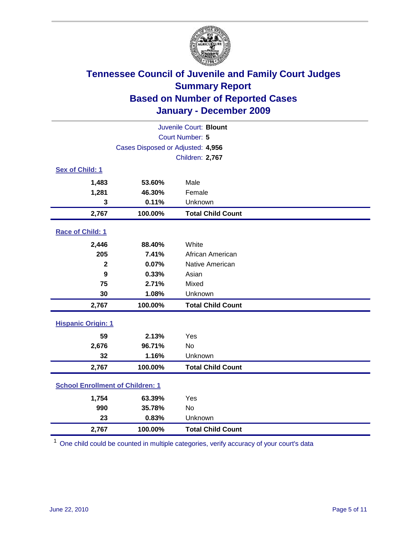

| Juvenile Court: Blount                  |                                   |                          |  |  |
|-----------------------------------------|-----------------------------------|--------------------------|--|--|
|                                         | Court Number: 5                   |                          |  |  |
|                                         | Cases Disposed or Adjusted: 4,956 |                          |  |  |
|                                         |                                   | Children: 2,767          |  |  |
| Sex of Child: 1                         |                                   |                          |  |  |
| 1,483                                   | 53.60%                            | Male                     |  |  |
| 1,281                                   | 46.30%                            | Female                   |  |  |
| 3                                       | 0.11%                             | Unknown                  |  |  |
| 2,767                                   | 100.00%                           | <b>Total Child Count</b> |  |  |
| Race of Child: 1                        |                                   |                          |  |  |
| 2,446                                   | 88.40%                            | White                    |  |  |
| 205                                     | 7.41%                             | African American         |  |  |
| $\overline{2}$                          | 0.07%                             | Native American          |  |  |
| 9                                       | 0.33%                             | Asian                    |  |  |
| 75                                      | 2.71%                             | Mixed                    |  |  |
| 30                                      | 1.08%                             | Unknown                  |  |  |
| 2,767                                   | 100.00%                           | <b>Total Child Count</b> |  |  |
| <b>Hispanic Origin: 1</b>               |                                   |                          |  |  |
| 59                                      | 2.13%                             | Yes                      |  |  |
| 2,676                                   | 96.71%                            | No                       |  |  |
| 32                                      | 1.16%                             | Unknown                  |  |  |
| 2,767                                   | 100.00%                           | <b>Total Child Count</b> |  |  |
| <b>School Enrollment of Children: 1</b> |                                   |                          |  |  |
| 1,754                                   | 63.39%                            | Yes                      |  |  |
| 990                                     | 35.78%                            | <b>No</b>                |  |  |
| 23                                      | 0.83%                             | Unknown                  |  |  |
| 2,767                                   | 100.00%                           | <b>Total Child Count</b> |  |  |

<sup>1</sup> One child could be counted in multiple categories, verify accuracy of your court's data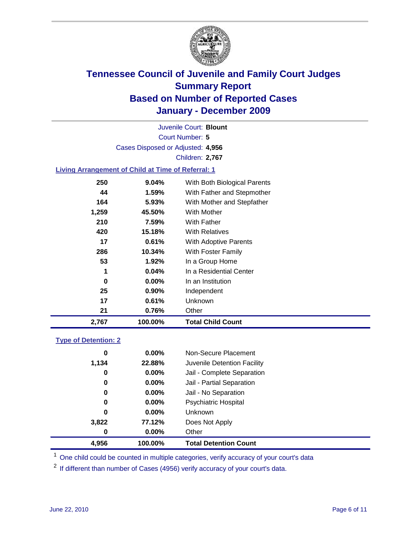

Court Number: **5** Juvenile Court: **Blount** Cases Disposed or Adjusted: **4,956** Children: **2,767**

### **Living Arrangement of Child at Time of Referral: 1**

| 2,767 | 100.00%  | Total Child Count            |
|-------|----------|------------------------------|
| 21    | 0.76%    | Other                        |
| 17    | 0.61%    | <b>Unknown</b>               |
| 25    | $0.90\%$ | Independent                  |
| 0     | $0.00\%$ | In an Institution            |
| 1     | $0.04\%$ | In a Residential Center      |
| 53    | $1.92\%$ | In a Group Home              |
| 286   | 10.34%   | With Foster Family           |
| 17    | 0.61%    | <b>With Adoptive Parents</b> |
| 420   | 15.18%   | <b>With Relatives</b>        |
| 210   | 7.59%    | With Father                  |
| 1,259 | 45.50%   | With Mother                  |
| 164   | 5.93%    | With Mother and Stepfather   |
| 44    | $1.59\%$ | With Father and Stepmother   |
| 250   | $9.04\%$ | With Both Biological Parents |
|       |          |                              |

#### **Type of Detention: 2**

| 4.956 | 100.00%  | <b>Total Detention Count</b> |  |
|-------|----------|------------------------------|--|
| 0     | $0.00\%$ | Other                        |  |
| 3,822 | 77.12%   | Does Not Apply               |  |
| 0     | $0.00\%$ | Unknown                      |  |
| 0     | $0.00\%$ | <b>Psychiatric Hospital</b>  |  |
| 0     | 0.00%    | Jail - No Separation         |  |
| 0     | $0.00\%$ | Jail - Partial Separation    |  |
| 0     | 0.00%    | Jail - Complete Separation   |  |
| 1,134 | 22.88%   | Juvenile Detention Facility  |  |
| 0     | $0.00\%$ | Non-Secure Placement         |  |
|       |          |                              |  |

<sup>1</sup> One child could be counted in multiple categories, verify accuracy of your court's data

<sup>2</sup> If different than number of Cases (4956) verify accuracy of your court's data.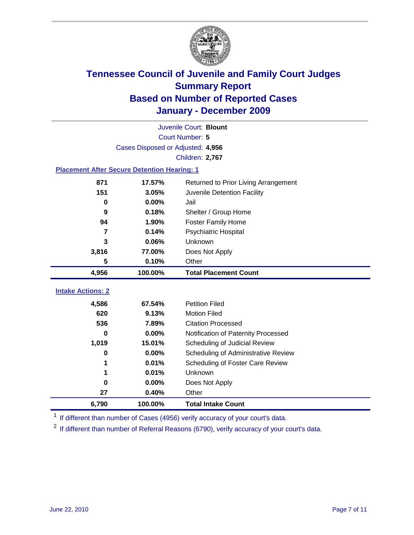

|                                                    | Juvenile Court: Blount            |                                      |  |  |  |
|----------------------------------------------------|-----------------------------------|--------------------------------------|--|--|--|
|                                                    | Court Number: 5                   |                                      |  |  |  |
|                                                    | Cases Disposed or Adjusted: 4,956 |                                      |  |  |  |
|                                                    |                                   | Children: 2,767                      |  |  |  |
| <b>Placement After Secure Detention Hearing: 1</b> |                                   |                                      |  |  |  |
| 871                                                | 17.57%                            | Returned to Prior Living Arrangement |  |  |  |
| 151                                                | 3.05%                             | Juvenile Detention Facility          |  |  |  |
| 0                                                  | 0.00%                             | Jail                                 |  |  |  |
| 9                                                  | 0.18%                             | Shelter / Group Home                 |  |  |  |
| 94                                                 | 1.90%                             | <b>Foster Family Home</b>            |  |  |  |
| $\overline{7}$                                     | 0.14%                             | Psychiatric Hospital                 |  |  |  |
| 3                                                  | 0.06%                             | Unknown                              |  |  |  |
| 3,816                                              | 77.00%                            | Does Not Apply                       |  |  |  |
| 5                                                  | 0.10%                             | Other                                |  |  |  |
| 4,956                                              | 100.00%                           | <b>Total Placement Count</b>         |  |  |  |
| <b>Intake Actions: 2</b>                           |                                   |                                      |  |  |  |
|                                                    |                                   |                                      |  |  |  |
| 4,586                                              | 67.54%                            | <b>Petition Filed</b>                |  |  |  |
| 620                                                | 9.13%                             | <b>Motion Filed</b>                  |  |  |  |
| 536                                                | 7.89%                             | <b>Citation Processed</b>            |  |  |  |
| 0                                                  | 0.00%                             | Notification of Paternity Processed  |  |  |  |
| 1,019                                              | 15.01%                            | Scheduling of Judicial Review        |  |  |  |
| 0                                                  | 0.00%                             | Scheduling of Administrative Review  |  |  |  |
|                                                    | 0.01%                             | Scheduling of Foster Care Review     |  |  |  |
| 1                                                  | 0.01%                             | Unknown                              |  |  |  |
| 0                                                  | 0.00%                             | Does Not Apply                       |  |  |  |
| 27                                                 | 0.40%                             | Other                                |  |  |  |
| 6,790                                              | 100.00%                           | <b>Total Intake Count</b>            |  |  |  |

<sup>1</sup> If different than number of Cases (4956) verify accuracy of your court's data.

<sup>2</sup> If different than number of Referral Reasons (6790), verify accuracy of your court's data.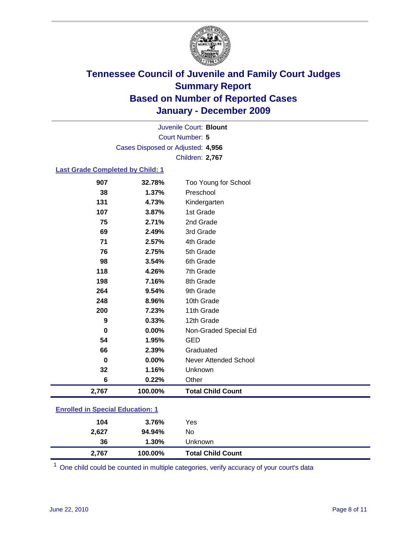

Court Number: **5** Juvenile Court: **Blount** Cases Disposed or Adjusted: **4,956** Children: **2,767**

#### **Last Grade Completed by Child: 1**

| 907                                     | 32.78%  | Too Young for School         |  |
|-----------------------------------------|---------|------------------------------|--|
| 38                                      | 1.37%   | Preschool                    |  |
| 131                                     | 4.73%   | Kindergarten                 |  |
| 107                                     | 3.87%   | 1st Grade                    |  |
| 75                                      | 2.71%   | 2nd Grade                    |  |
| 69                                      | 2.49%   | 3rd Grade                    |  |
| 71                                      | 2.57%   | 4th Grade                    |  |
| 76                                      | 2.75%   | 5th Grade                    |  |
| 98                                      | 3.54%   | 6th Grade                    |  |
| 118                                     | 4.26%   | 7th Grade                    |  |
| 198                                     | 7.16%   | 8th Grade                    |  |
| 264                                     | 9.54%   | 9th Grade                    |  |
| 248                                     | 8.96%   | 10th Grade                   |  |
| 200                                     | 7.23%   | 11th Grade                   |  |
| 9                                       | 0.33%   | 12th Grade                   |  |
| 0                                       | 0.00%   | Non-Graded Special Ed        |  |
| 54                                      | 1.95%   | <b>GED</b>                   |  |
| 66                                      | 2.39%   | Graduated                    |  |
| 0                                       | 0.00%   | <b>Never Attended School</b> |  |
| 32                                      | 1.16%   | Unknown                      |  |
| 6                                       | 0.22%   | Other                        |  |
| 2,767                                   | 100.00% | <b>Total Child Count</b>     |  |
| <b>Enrolled in Special Education: 1</b> |         |                              |  |

| 2,767 | 100.00% | <b>Total Child Count</b> |
|-------|---------|--------------------------|
| 36    | 1.30%   | Unknown                  |
| 2,627 | 94.94%  | No                       |
| 104   | 3.76%   | Yes                      |
|       |         |                          |

One child could be counted in multiple categories, verify accuracy of your court's data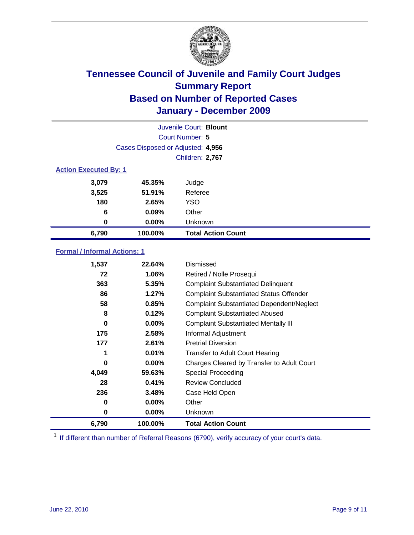

| Juvenile Court: Blount       |                                   |                           |  |  |  |
|------------------------------|-----------------------------------|---------------------------|--|--|--|
|                              | Court Number: 5                   |                           |  |  |  |
|                              | Cases Disposed or Adjusted: 4,956 |                           |  |  |  |
|                              |                                   | <b>Children: 2,767</b>    |  |  |  |
| <b>Action Executed By: 1</b> |                                   |                           |  |  |  |
| 3,079                        | 45.35%                            | Judge                     |  |  |  |
| 3,525                        | 51.91%                            | Referee                   |  |  |  |
| 180                          | 2.65%                             | <b>YSO</b>                |  |  |  |
| 6                            | 0.09%                             | Other                     |  |  |  |
| $\bf{0}$                     | 0.00%                             | Unknown                   |  |  |  |
| 6,790                        | 100.00%                           | <b>Total Action Count</b> |  |  |  |

### **Formal / Informal Actions: 1**

| 1,537    | 22.64%   | Dismissed                                        |
|----------|----------|--------------------------------------------------|
| 72       | 1.06%    | Retired / Nolle Prosequi                         |
| 363      | 5.35%    | <b>Complaint Substantiated Delinquent</b>        |
| 86       | 1.27%    | <b>Complaint Substantiated Status Offender</b>   |
| 58       | 0.85%    | <b>Complaint Substantiated Dependent/Neglect</b> |
| 8        | 0.12%    | <b>Complaint Substantiated Abused</b>            |
| $\bf{0}$ | $0.00\%$ | <b>Complaint Substantiated Mentally III</b>      |
| 175      | 2.58%    | Informal Adjustment                              |
| 177      | 2.61%    | <b>Pretrial Diversion</b>                        |
|          | 0.01%    | <b>Transfer to Adult Court Hearing</b>           |
| 0        | $0.00\%$ | Charges Cleared by Transfer to Adult Court       |
| 4,049    | 59.63%   | Special Proceeding                               |
| 28       | 0.41%    | <b>Review Concluded</b>                          |
| 236      | 3.48%    | Case Held Open                                   |
| 0        | $0.00\%$ | Other                                            |
| 0        | $0.00\%$ | <b>Unknown</b>                                   |
| 6,790    | 100.00%  | <b>Total Action Count</b>                        |

<sup>1</sup> If different than number of Referral Reasons (6790), verify accuracy of your court's data.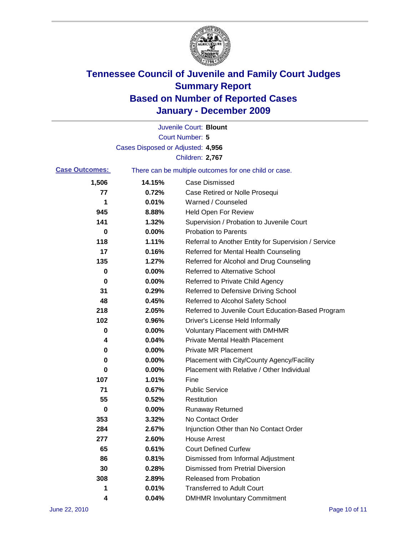

|                       |                                   | Juvenile Court: Blount                                |
|-----------------------|-----------------------------------|-------------------------------------------------------|
|                       |                                   | <b>Court Number: 5</b>                                |
|                       | Cases Disposed or Adjusted: 4,956 |                                                       |
|                       |                                   | Children: 2,767                                       |
| <b>Case Outcomes:</b> |                                   | There can be multiple outcomes for one child or case. |
| 1,506                 | 14.15%                            | <b>Case Dismissed</b>                                 |
| 77                    | 0.72%                             | Case Retired or Nolle Prosequi                        |
| 1                     | 0.01%                             | Warned / Counseled                                    |
| 945                   | 8.88%                             | <b>Held Open For Review</b>                           |
| 141                   | 1.32%                             | Supervision / Probation to Juvenile Court             |
| 0                     | 0.00%                             | <b>Probation to Parents</b>                           |
| 118                   | 1.11%                             | Referral to Another Entity for Supervision / Service  |
| 17                    | 0.16%                             | Referred for Mental Health Counseling                 |
| 135                   | 1.27%                             | Referred for Alcohol and Drug Counseling              |
| 0                     | 0.00%                             | Referred to Alternative School                        |
| 0                     | 0.00%                             | Referred to Private Child Agency                      |
| 31                    | 0.29%                             | Referred to Defensive Driving School                  |
| 48                    | 0.45%                             | Referred to Alcohol Safety School                     |
| 218                   | 2.05%                             | Referred to Juvenile Court Education-Based Program    |
| 102                   | 0.96%                             | Driver's License Held Informally                      |
| 0                     | 0.00%                             | <b>Voluntary Placement with DMHMR</b>                 |
| 4                     | 0.04%                             | <b>Private Mental Health Placement</b>                |
| 0                     | 0.00%                             | <b>Private MR Placement</b>                           |
| 0                     | 0.00%                             | Placement with City/County Agency/Facility            |
| 0                     | 0.00%                             | Placement with Relative / Other Individual            |
| 107                   | 1.01%                             | Fine                                                  |
| 71                    | 0.67%                             | <b>Public Service</b>                                 |
| 55                    | 0.52%                             | Restitution                                           |
| 0                     | 0.00%                             | <b>Runaway Returned</b>                               |
| 353                   | 3.32%                             | No Contact Order                                      |
| 284                   | 2.67%                             | Injunction Other than No Contact Order                |
| 277                   | 2.60%                             | <b>House Arrest</b>                                   |
| 65                    | 0.61%                             | <b>Court Defined Curfew</b>                           |
| 86                    | 0.81%                             | Dismissed from Informal Adjustment                    |
| 30                    | 0.28%                             | <b>Dismissed from Pretrial Diversion</b>              |
| 308                   | 2.89%                             | Released from Probation                               |
| 1                     | 0.01%                             | <b>Transferred to Adult Court</b>                     |
| 4                     | 0.04%                             | <b>DMHMR Involuntary Commitment</b>                   |